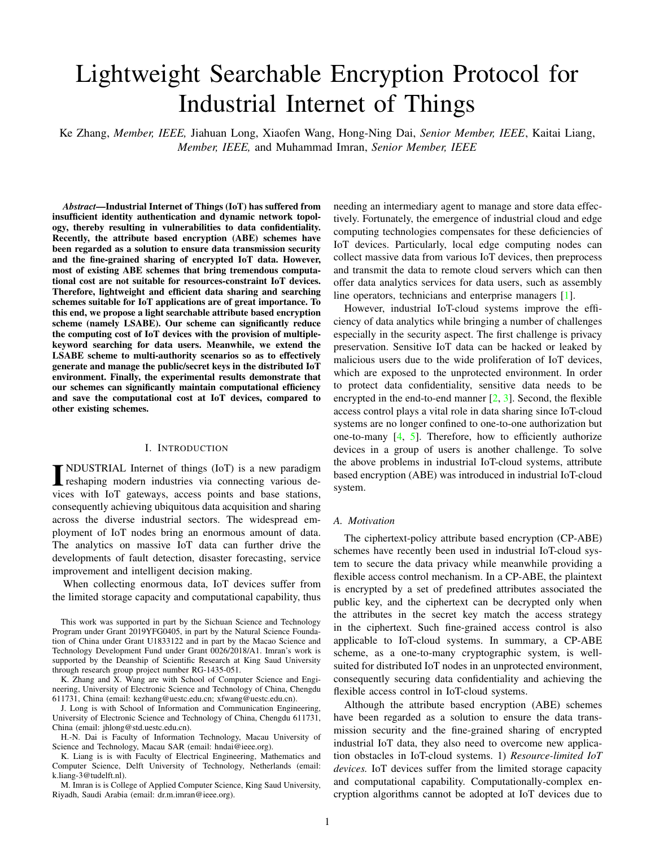# Lightweight Searchable Encryption Protocol for Industrial Internet of Things

Ke Zhang, *Member, IEEE,* Jiahuan Long, Xiaofen Wang, Hong-Ning Dai, *Senior Member, IEEE*, Kaitai Liang, *Member, IEEE,* and Muhammad Imran, *Senior Member, IEEE*

*Abstract*—Industrial Internet of Things (IoT) has suffered from insufficient identity authentication and dynamic network topology, thereby resulting in vulnerabilities to data confidentiality. Recently, the attribute based encryption (ABE) schemes have been regarded as a solution to ensure data transmission security and the fine-grained sharing of encrypted IoT data. However, most of existing ABE schemes that bring tremendous computational cost are not suitable for resources-constraint IoT devices. Therefore, lightweight and efficient data sharing and searching schemes suitable for IoT applications are of great importance. To this end, we propose a light searchable attribute based encryption scheme (namely LSABE). Our scheme can significantly reduce the computing cost of IoT devices with the provision of multiplekeyword searching for data users. Meanwhile, we extend the LSABE scheme to multi-authority scenarios so as to effectively generate and manage the public/secret keys in the distributed IoT environment. Finally, the experimental results demonstrate that our schemes can significantly maintain computational efficiency and save the computational cost at IoT devices, compared to other existing schemes.

#### I. INTRODUCTION

**INDUSTRIAL Internet of things (IoT) is a new paradigm**<br>reshaping modern industries via connecting various dereshaping modern industries via connecting various devices with IoT gateways, access points and base stations, consequently achieving ubiquitous data acquisition and sharing across the diverse industrial sectors. The widespread employment of IoT nodes bring an enormous amount of data. The analytics on massive IoT data can further drive the developments of fault detection, disaster forecasting, service improvement and intelligent decision making.

When collecting enormous data, IoT devices suffer from the limited storage capacity and computational capability, thus

K. Zhang and X. Wang are with School of Computer Science and Engineering, University of Electronic Science and Technology of China, Chengdu 611731, China (email: kezhang@uestc.edu.cn; xfwang@uestc.edu.cn).

J. Long is with School of Information and Communication Engineering, University of Electronic Science and Technology of China, Chengdu 611731, China (email: jhlong@std.uestc.edu.cn).

H.-N. Dai is Faculty of Information Technology, Macau University of Science and Technology, Macau SAR (email: hndai@ieee.org).

K. Liang is is with Faculty of Electrical Engineering, Mathematics and Computer Science, Delft University of Technology, Netherlands (email: k.liang-3@tudelft.nl).

M. Imran is is College of Applied Computer Science, King Saud University, Riyadh, Saudi Arabia (email: dr.m.imran@ieee.org).

needing an intermediary agent to manage and store data effectively. Fortunately, the emergence of industrial cloud and edge computing technologies compensates for these deficiencies of IoT devices. Particularly, local edge computing nodes can collect massive data from various IoT devices, then preprocess and transmit the data to remote cloud servers which can then offer data analytics services for data users, such as assembly line operators, technicians and enterprise managers [\[1\]](#page-9-0).

However, industrial IoT-cloud systems improve the efficiency of data analytics while bringing a number of challenges especially in the security aspect. The first challenge is privacy preservation. Sensitive IoT data can be hacked or leaked by malicious users due to the wide proliferation of IoT devices, which are exposed to the unprotected environment. In order to protect data confidentiality, sensitive data needs to be encrypted in the end-to-end manner [\[2,](#page-9-1) [3\]](#page-9-2). Second, the flexible access control plays a vital role in data sharing since IoT-cloud systems are no longer confined to one-to-one authorization but one-to-many [\[4,](#page-9-3) [5\]](#page-9-4). Therefore, how to efficiently authorize devices in a group of users is another challenge. To solve the above problems in industrial IoT-cloud systems, attribute based encryption (ABE) was introduced in industrial IoT-cloud system.

#### *A. Motivation*

The ciphertext-policy attribute based encryption (CP-ABE) schemes have recently been used in industrial IoT-cloud system to secure the data privacy while meanwhile providing a flexible access control mechanism. In a CP-ABE, the plaintext is encrypted by a set of predefined attributes associated the public key, and the ciphertext can be decrypted only when the attributes in the secret key match the access strategy in the ciphertext. Such fine-grained access control is also applicable to IoT-cloud systems. In summary, a CP-ABE scheme, as a one-to-many cryptographic system, is wellsuited for distributed IoT nodes in an unprotected environment, consequently securing data confidentiality and achieving the flexible access control in IoT-cloud systems.

Although the attribute based encryption (ABE) schemes have been regarded as a solution to ensure the data transmission security and the fine-grained sharing of encrypted industrial IoT data, they also need to overcome new application obstacles in IoT-cloud systems. 1) *Resource-limited IoT devices.* IoT devices suffer from the limited storage capacity and computational capability. Computationally-complex encryption algorithms cannot be adopted at IoT devices due to

This work was supported in part by the Sichuan Science and Technology Program under Grant 2019YFG0405, in part by the Natural Science Foundation of China under Grant U1833122 and in part by the Macao Science and Technology Development Fund under Grant 0026/2018/A1. Imran's work is supported by the Deanship of Scientific Research at King Saud University through research group project number RG-1435-051.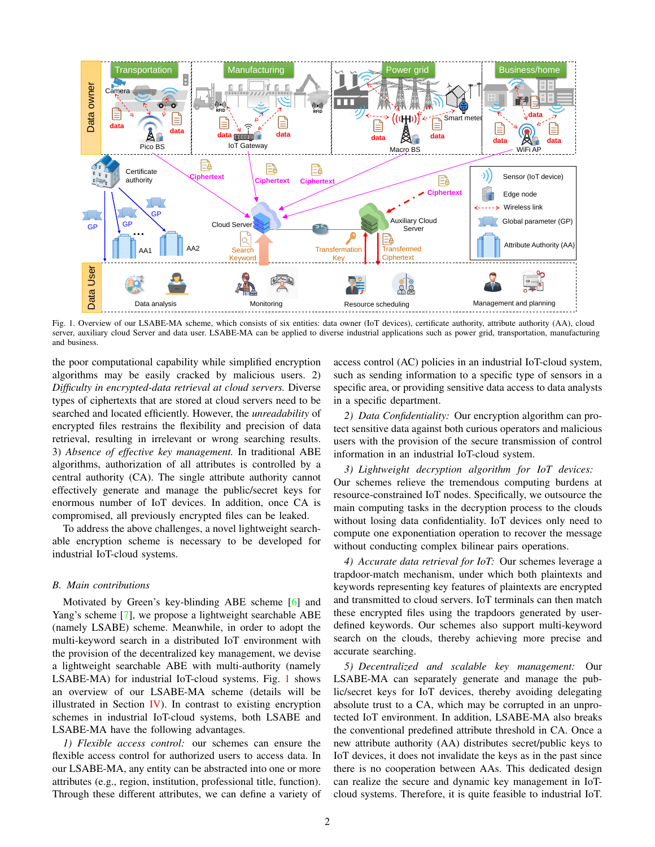<span id="page-1-0"></span>

Fig. 1. Overview of our LSABE-MA scheme, which consists of six entities: data owner (IoT devices), certificate authority, attribute authority (AA), cloud server, auxiliary cloud Server and data user. LSABE-MA can be applied to diverse industrial applications such as power grid, transportation, manufacturing and business.

the poor computational capability while simplified encryption algorithms may be easily cracked by malicious users. 2) *Difficulty in encrypted-data retrieval at cloud servers.* Diverse types of ciphertexts that are stored at cloud servers need to be searched and located efficiently. However, the *unreadability* of encrypted files restrains the flexibility and precision of data retrieval, resulting in irrelevant or wrong searching results. 3) *Absence of effective key management.* In traditional ABE algorithms, authorization of all attributes is controlled by a central authority (CA). The single attribute authority cannot effectively generate and manage the public/secret keys for enormous number of IoT devices. In addition, once CA is compromised, all previously encrypted files can be leaked.

To address the above challenges, a novel lightweight searchable encryption scheme is necessary to be developed for industrial IoT-cloud systems.

#### *B. Main contributions*

Motivated by Green's key-blinding ABE scheme [\[6\]](#page-9-5) and Yang's scheme [\[7\]](#page-9-6), we propose a lightweight searchable ABE (namely LSABE) scheme. Meanwhile, in order to adopt the multi-keyword search in a distributed IoT environment with the provision of the decentralized key management, we devise a lightweight searchable ABE with multi-authority (namely LSABE-MA) for industrial IoT-cloud systems. Fig. [1](#page-1-0) shows an overview of our LSABE-MA scheme (details will be illustrated in Section  $\bf{IV}$ ). In contrast to existing encryption schemes in industrial IoT-cloud systems, both LSABE and LSABE-MA have the following advantages.

*1) Flexible access control:* our schemes can ensure the flexible access control for authorized users to access data. In our LSABE-MA, any entity can be abstracted into one or more attributes (e.g., region, institution, professional title, function). Through these different attributes, we can define a variety of access control (AC) policies in an industrial IoT-cloud system, such as sending information to a specific type of sensors in a specific area, or providing sensitive data access to data analysts in a specific department.

*2) Data Confidentiality:* Our encryption algorithm can protect sensitive data against both curious operators and malicious users with the provision of the secure transmission of control information in an industrial IoT-cloud system.

*3) Lightweight decryption algorithm for IoT devices:* Our schemes relieve the tremendous computing burdens at resource-constrained IoT nodes. Specifically, we outsource the main computing tasks in the decryption process to the clouds without losing data confidentiality. IoT devices only need to compute one exponentiation operation to recover the message without conducting complex bilinear pairs operations.

*4) Accurate data retrieval for IoT:* Our schemes leverage a trapdoor-match mechanism, under which both plaintexts and keywords representing key features of plaintexts are encrypted and transmitted to cloud servers. IoT terminals can then match these encrypted files using the trapdoors generated by userdefined keywords. Our schemes also support multi-keyword search on the clouds, thereby achieving more precise and accurate searching.

*5) Decentralized and scalable key management:* Our LSABE-MA can separately generate and manage the public/secret keys for IoT devices, thereby avoiding delegating absolute trust to a CA, which may be corrupted in an unprotected IoT environment. In addition, LSABE-MA also breaks the conventional predefined attribute threshold in CA. Once a new attribute authority (AA) distributes secret/public keys to IoT devices, it does not invalidate the keys as in the past since there is no cooperation between AAs. This dedicated design can realize the secure and dynamic key management in IoTcloud systems. Therefore, it is quite feasible to industrial IoT.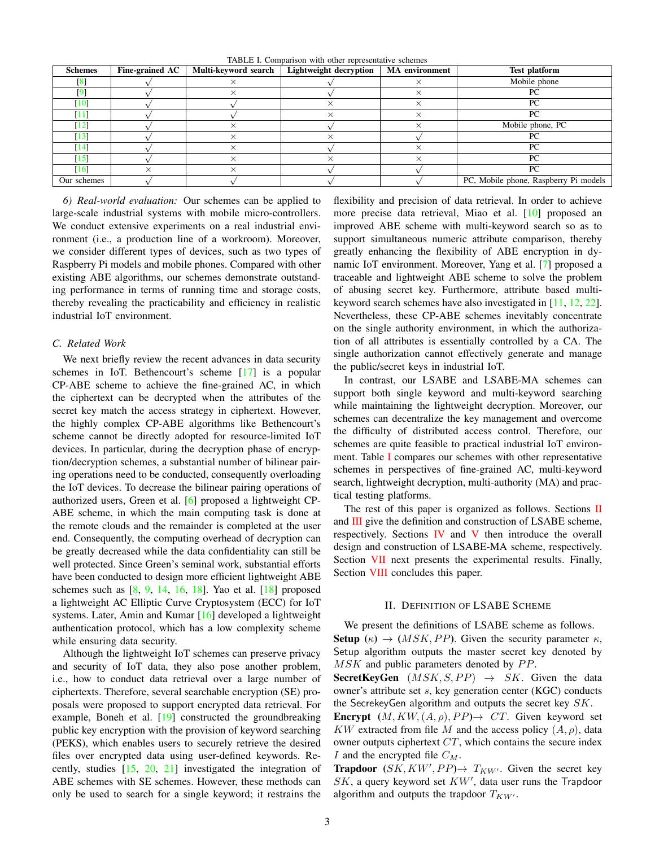TABLE I. Comparison with other representative schemes

<span id="page-2-0"></span>

| <b>Schemes</b>     | Fine-grained AC | Multi-keyword search | Lightweight decryption | <b>MA</b> environment | <b>Test platform</b>                  |
|--------------------|-----------------|----------------------|------------------------|-----------------------|---------------------------------------|
| $\lceil 8 \rceil$  |                 |                      |                        |                       | Mobile phone                          |
|                    |                 |                      |                        |                       | PC                                    |
| [10]               |                 |                      |                        |                       | PС                                    |
| [11]               |                 |                      |                        |                       | PC                                    |
| [12]               |                 |                      |                        |                       | Mobile phone, PC                      |
| $\lceil 13 \rceil$ |                 | $\times$             |                        |                       | РC                                    |
| $\lceil 14 \rceil$ |                 |                      |                        |                       | PC                                    |
| [15]               |                 |                      |                        |                       | PC                                    |
| [16]               |                 |                      |                        |                       | PC                                    |
| Our schemes        |                 |                      |                        |                       | PC, Mobile phone, Raspberry Pi models |

*6) Real-world evaluation:* Our schemes can be applied to large-scale industrial systems with mobile micro-controllers. We conduct extensive experiments on a real industrial environment (i.e., a production line of a workroom). Moreover, we consider different types of devices, such as two types of Raspberry Pi models and mobile phones. Compared with other existing ABE algorithms, our schemes demonstrate outstanding performance in terms of running time and storage costs, thereby revealing the practicability and efficiency in realistic industrial IoT environment.

#### *C. Related Work*

We next briefly review the recent advances in data security schemes in IoT. Bethencourt's scheme [\[17\]](#page-9-16) is a popular CP-ABE scheme to achieve the fine-grained AC, in which the ciphertext can be decrypted when the attributes of the secret key match the access strategy in ciphertext. However, the highly complex CP-ABE algorithms like Bethencourt's scheme cannot be directly adopted for resource-limited IoT devices. In particular, during the decryption phase of encryption/decryption schemes, a substantial number of bilinear pairing operations need to be conducted, consequently overloading the IoT devices. To decrease the bilinear pairing operations of authorized users, Green et al. [\[6\]](#page-9-5) proposed a lightweight CP-ABE scheme, in which the main computing task is done at the remote clouds and the remainder is completed at the user end. Consequently, the computing overhead of decryption can be greatly decreased while the data confidentiality can still be well protected. Since Green's seminal work, substantial efforts have been conducted to design more efficient lightweight ABE schemes such as  $[8, 9, 14, 16, 18]$  $[8, 9, 14, 16, 18]$  $[8, 9, 14, 16, 18]$  $[8, 9, 14, 16, 18]$  $[8, 9, 14, 16, 18]$  $[8, 9, 14, 16, 18]$  $[8, 9, 14, 16, 18]$  $[8, 9, 14, 16, 18]$  $[8, 9, 14, 16, 18]$ . Yao et al.  $[18]$  proposed a lightweight AC Elliptic Curve Cryptosystem (ECC) for IoT systems. Later, Amin and Kumar [\[16\]](#page-9-15) developed a lightweight authentication protocol, which has a low complexity scheme while ensuring data security.

Although the lightweight IoT schemes can preserve privacy and security of IoT data, they also pose another problem, i.e., how to conduct data retrieval over a large number of ciphertexts. Therefore, several searchable encryption (SE) proposals were proposed to support encrypted data retrieval. For example, Boneh et al. [\[19\]](#page-9-18) constructed the groundbreaking public key encryption with the provision of keyword searching (PEKS), which enables users to securely retrieve the desired files over encrypted data using user-defined keywords. Recently, studies [\[15,](#page-9-14) [20,](#page-9-19) [21\]](#page-9-20) investigated the integration of ABE schemes with SE schemes. However, these methods can only be used to search for a single keyword; it restrains the flexibility and precision of data retrieval. In order to achieve more precise data retrieval, Miao et al. [\[10\]](#page-9-9) proposed an improved ABE scheme with multi-keyword search so as to support simultaneous numeric attribute comparison, thereby greatly enhancing the flexibility of ABE encryption in dynamic IoT environment. Moreover, Yang et al. [\[7\]](#page-9-6) proposed a traceable and lightweight ABE scheme to solve the problem of abusing secret key. Furthermore, attribute based multikeyword search schemes have also investigated in [\[11,](#page-9-10) [12,](#page-9-11) [22\]](#page-9-21). Nevertheless, these CP-ABE schemes inevitably concentrate on the single authority environment, in which the authorization of all attributes is essentially controlled by a CA. The single authorization cannot effectively generate and manage the public/secret keys in industrial IoT.

In contrast, our LSABE and LSABE-MA schemes can support both single keyword and multi-keyword searching while maintaining the lightweight decryption. Moreover, our schemes can decentralize the key management and overcome the difficulty of distributed access control. Therefore, our schemes are quite feasible to practical industrial IoT environment. Table [I](#page-2-0) compares our schemes with other representative schemes in perspectives of fine-grained AC, multi-keyword search, lightweight decryption, multi-authority (MA) and practical testing platforms.

The rest of this paper is organized as follows. Sections [II](#page-2-1) and **[III](#page-3-0)** give the definition and construction of LSABE scheme, respectively. Sections [IV](#page-4-0) and [V](#page-4-1) then introduce the overall design and construction of LSABE-MA scheme, respectively. Section [VII](#page-6-0) next presents the experimental results. Finally, Section [VIII](#page-9-22) concludes this paper.

## II. DEFINITION OF LSABE SCHEME

<span id="page-2-1"></span>We present the definitions of LSABE scheme as follows. **Setup** ( $\kappa$ )  $\rightarrow$  (*MSK*, *PP*). Given the security parameter  $\kappa$ , Setup algorithm outputs the master secret key denoted by  $MSK$  and public parameters denoted by  $PP$ .

**SecretKeyGen**  $(MSK, S, PP) \rightarrow SK$ . Given the data owner's attribute set s, key generation center (KGC) conducts the SecrekeyGen algorithm and outputs the secret key SK.

**Encrypt**  $(M, KW, (A, \rho), PP) \rightarrow CT$ . Given keyword set KW extracted from file M and the access policy  $(A, \rho)$ , data owner outputs ciphertext CT, which contains the secure index I and the encrypted file  $C_M$ .

**Trapdoor**  $(SK, KW', PP) \rightarrow T_{KW'}$ . Given the secret key  $SK$ , a query keyword set  $KW'$ , data user runs the Trapdoor algorithm and outputs the trapdoor  $T_{KW'}$ .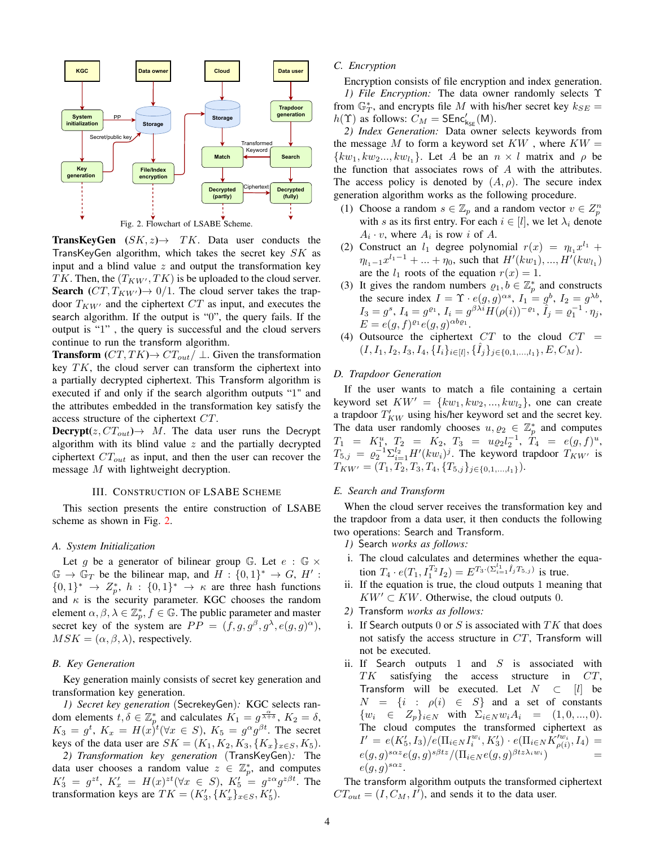<span id="page-3-1"></span>

**TransKeyGen**  $(SK, z) \rightarrow TK$ . Data user conducts the TransKeyGen algorithm, which takes the secret key SK as input and a blind value  $z$  and output the transformation key TK. Then, the  $(T_{KW}, TK)$  is be uploaded to the cloud server. **Search**  $(CT, T_{KW'}) \rightarrow 0/1$ . The cloud server takes the trapdoor  $T_{KW'}$  and the ciphertext  $CT$  as input, and executes the search algorithm. If the output is "0", the query fails. If the output is "1" , the query is successful and the cloud servers continue to run the transform algorithm.

**Transform**  $(CT, TK) \rightarrow CT_{out}/ \perp$ . Given the transformation key  $TK$ , the cloud server can transform the ciphertext into a partially decrypted ciphertext. This Transform algorithm is executed if and only if the search algorithm outputs "1" and the attributes embedded in the transformation key satisfy the access structure of the ciphertext CT.

**Decrypt** $(z, CT_{out}) \rightarrow M$ . The data user runs the Decrypt algorithm with its blind value  $z$  and the partially decrypted ciphertext  $CT_{out}$  as input, and then the user can recover the message M with lightweight decryption.

#### III. CONSTRUCTION OF LSABE SCHEME

<span id="page-3-0"></span>This section presents the entire construction of LSABE scheme as shown in Fig. [2.](#page-3-1)

## *A. System Initialization*

Let g be a generator of bilinear group G. Let  $e : \mathbb{G} \times$  $\mathbb{G} \to \mathbb{G}_T$  be the bilinear map, and  $H : \{0,1\}^* \to G$ ,  $H'$ :  $\{0,1\}^* \rightarrow Z_p^*$ ,  $h: \{0,1\}^* \rightarrow \kappa$  are three hash functions and  $\kappa$  is the security parameter. KGC chooses the random element  $\alpha, \beta, \lambda \in \mathbb{Z}_p^*, f \in \mathbb{G}$ . The public parameter and master secret key of the system are  $PP = (f, g, g^{\beta}, g^{\lambda}, e(g, g)^{\alpha})$ ,  $MSK = (\alpha, \beta, \lambda)$ , respectively.

# *B. Key Generation*

Key generation mainly consists of secret key generation and transformation key generation.

*1) Secret key generation* (SecrekeyGen)*:* KGC selects random elements  $t, \delta \in \mathbb{Z}_p^*$  and calculates  $K_1 = g^{\frac{\alpha}{\lambda + \delta}}, K_2 = \delta$ ,  $K_3 = g^t$ ,  $K_x = H(x)^t (\forall x \in S)$ ,  $K_5 = g^{\alpha} g^{\beta t}$ . The secret keys of the data user are  $SK = (K_1, K_2, K_3, \{K_x\}_{x \in S}, K_5).$ 

*2) Transformation key generation* (TransKeyGen)*:* The data user chooses a random value  $z \in \mathbb{Z}_p^*$ , and computes  $K_3' = g^{zt}$ ,  $K_x' = H(x)^{zt} (\forall x \in S)$ ,  $K_5' = g^{z\alpha} g^{z\beta t}$ . The transformation keys are  $TK = (K'_3, \{K'_x\}_{x \in S}, K'_5)$ .

#### *C. Encryption*

Encryption consists of file encryption and index generation. *1) File Encryption:* The data owner randomly selects Υ from  $\mathbb{G}_T^*$ , and encrypts file M with his/her secret key  $k_{SE} =$  $h(\Upsilon)$  as follows:  $C_M = \text{SEnc}'_{\text{kse}}(\mathsf{M}).$ 

*2) Index Generation:* Data owner selects keywords from the message  $M$  to form a keyword set  $KW$  , where  $KW =$  $\{kw_1, kw_2..., kw_{l_1}\}.$  Let A be an  $n \times l$  matrix and  $\rho$  be the function that associates rows of  $A$  with the attributes. The access policy is denoted by  $(A, \rho)$ . The secure index generation algorithm works as the following procedure.

- (1) Choose a random  $s \in \mathbb{Z}_p$  and a random vector  $v \in \mathbb{Z}_p^n$ with s as its first entry. For each  $i \in [l]$ , we let  $\lambda_i$  denote  $A_i \cdot v$ , where  $A_i$  is row i of A.
- (2) Construct an  $l_1$  degree polynomial  $r(x) = \eta_{l_1} x^{l_1} +$  $\eta_{l_1-1}x^{l_1-1} + \dots + \eta_0$ , such that  $H'(kw_1), ..., H'(kw_{l_1})$ are the  $l_1$  roots of the equation  $r(x) = 1$ .
- (3) It gives the random numbers  $\rho_1, b \in \mathbb{Z}_p^*$  and constructs the secure index  $I = \Upsilon \cdot e(g, g)^{\alpha s}$ ,  $I_1 = g^b$ ,  $I_2 = g^{\lambda b}$ ,  $I_3=g^s,\, I_4=g^{\varrho_1},\, I_i=g^{\beta\lambda i}\widetilde{H(\rho(i))}^{-\varrho_1},\, \widetilde{I}_j=\varrho_1^{-1}\cdot \eta_j,$  $E = e(g, f)^{\varrho_1} e(g, g)^{\alpha b \varrho_1}.$
- (4) Outsource the ciphertext  $CT$  to the cloud  $CT =$  $(I, I_1, I_2, I_3, I_4, \{\tilde{I}_i\}_{i\in[l]}, \{\hat{I}_j\}_{j\in\{0,1,\ldots,l_1\}}, E, C_M).$

# *D. Trapdoor Generation*

If the user wants to match a file containing a certain keyword set  $KW' = \{kw_1, kw_2, ..., kw_{l_2}\},$  one can create a trapdoor  $T'_{KW}$  using his/her keyword set and the secret key. The data user randomly chooses  $u, \varrho_2 \in \mathbb{Z}_p^*$  and computes  $T_1 = K_1^u$ ,  $T_2 = K_2$ ,  $T_3 = u \varrho_2 l_2^{-1}$ ,  $T_4 = e(g, f)^u$ ,  $T_{5,j} = \varrho_2^{-1} \Sigma_{i=1}^{l_2} H'(kw_i)^j$ . The keyword trapdoor  $T_{KW'}$  is  $T_{KW'}=(T_1, T_2, T_3, T_4, \{T_{5,j}\}_{j\in\{0,1,\ldots,l_1\}}).$ 

# *E. Search and Transform*

When the cloud server receives the transformation key and the trapdoor from a data user, it then conducts the following two operations: Search and Transform.

- *1)* Search *works as follows:*
- i. The cloud calculates and determines whether the equation  $T_4 \cdot e(T_1, I_1^{T_2} I_2) = E^{T_3 \cdot (\sum_{i=1}^{l_1} \hat{I}_j T_{5,j})}$  is true.
- ii. If the equation is true, the cloud outputs 1 meaning that  $KW' \subset KW$ . Otherwise, the cloud outputs 0.
- *2)* Transform *works as follows:*
- i. If Search outputs  $0$  or  $S$  is associated with  $TK$  that does not satisfy the access structure in CT, Transform will not be executed.
- ii. If Search outputs  $1$  and  $S$  is associated with TK satisfying the access structure in CT, Transform will be executed. Let  $N \subset [l]$  be  $N = \{i : \rho(i) \in S\}$  and a set of constants  $\{w_i \in Z_p\}_{i \in N}$  with  $\Sigma_{i \in N} w_i A_i = (1, 0, ..., 0).$ The cloud computes the transformed ciphertext as  $I' \ = \ e(K'_5,I_3)/\widetilde{e}(\Pi_{i\in N}I_i^{w_i},K'_3)\cdot e(\Pi_{i\in N}\widetilde{K}'^{w_i}_{\rho(i)},I_4) \ =$  $e(g,g)^{s\alpha z}e(g,g)^{s\beta t z}/(\Pi_{i\in N}e(g,g)^{\beta t z\lambda_i w_i})$  =  $e(g,g)^{s\alpha z}$ .

The transform algorithm outputs the transformed ciphertext  $CT_{out} = (I, C_M, I')$ , and sends it to the data user.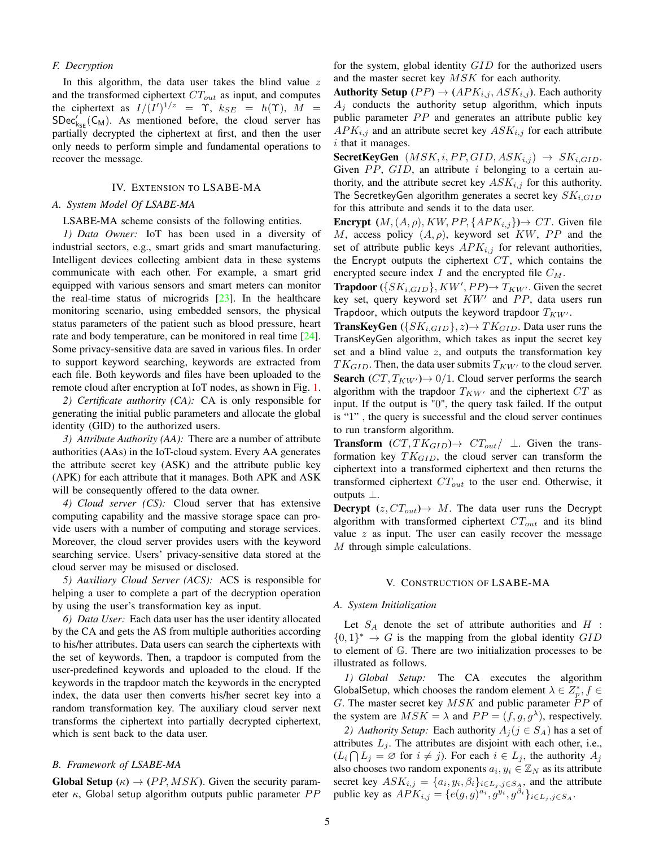# *F. Decryption*

In this algorithm, the data user takes the blind value  $z$ and the transformed ciphertext  $CT_{out}$  as input, and computes the ciphertext as  $I/(I')^{1/z} = \Upsilon$ ,  $k_{SE} = h(\Upsilon)$ ,  $M =$  $SDec'_{k_{SE}}(C_M)$ . As mentioned before, the cloud server has partially decrypted the ciphertext at first, and then the user only needs to perform simple and fundamental operations to recover the message.

## IV. EXTENSION TO LSABE-MA

## <span id="page-4-0"></span>*A. System Model Of LSABE-MA*

LSABE-MA scheme consists of the following entities.

*1) Data Owner:* IoT has been used in a diversity of industrial sectors, e.g., smart grids and smart manufacturing. Intelligent devices collecting ambient data in these systems communicate with each other. For example, a smart grid equipped with various sensors and smart meters can monitor the real-time status of microgrids  $[23]$ . In the healthcare monitoring scenario, using embedded sensors, the physical status parameters of the patient such as blood pressure, heart rate and body temperature, can be monitored in real time [\[24\]](#page-9-24). Some privacy-sensitive data are saved in various files. In order to support keyword searching, keywords are extracted from each file. Both keywords and files have been uploaded to the remote cloud after encryption at IoT nodes, as shown in Fig. [1.](#page-1-0)

*2) Certificate authority (CA):* CA is only responsible for generating the initial public parameters and allocate the global identity (GID) to the authorized users.

*3) Attribute Authority (AA):* There are a number of attribute authorities (AAs) in the IoT-cloud system. Every AA generates the attribute secret key (ASK) and the attribute public key (APK) for each attribute that it manages. Both APK and ASK will be consequently offered to the data owner.

*4) Cloud server (CS):* Cloud server that has extensive computing capability and the massive storage space can provide users with a number of computing and storage services. Moreover, the cloud server provides users with the keyword searching service. Users' privacy-sensitive data stored at the cloud server may be misused or disclosed.

*5) Auxiliary Cloud Server (ACS):* ACS is responsible for helping a user to complete a part of the decryption operation by using the user's transformation key as input.

*6) Data User:* Each data user has the user identity allocated by the CA and gets the AS from multiple authorities according to his/her attributes. Data users can search the ciphertexts with the set of keywords. Then, a trapdoor is computed from the user-predefined keywords and uploaded to the cloud. If the keywords in the trapdoor match the keywords in the encrypted index, the data user then converts his/her secret key into a random transformation key. The auxiliary cloud server next transforms the ciphertext into partially decrypted ciphertext, which is sent back to the data user.

# *B. Framework of LSABE-MA*

**Global Setup** ( $\kappa$ )  $\rightarrow$  (*PP*, *MSK*). Given the security parameter  $\kappa$ , Global setup algorithm outputs public parameter  $PP$  for the system, global identity GID for the authorized users and the master secret key MSK for each authority.

**Authority Setup** (PP)  $\rightarrow$  (APK<sub>i,j</sub>, ASK<sub>i,j</sub>). Each authority  $A_j$  conducts the authority setup algorithm, which inputs public parameter  $PP$  and generates an attribute public key  $APK_{i,j}$  and an attribute secret key  $ASK_{i,j}$  for each attribute i that it manages.

**SecretKeyGen**  $(MSK, i, PP, GID, ASK_{i,j}) \rightarrow SK_{i,GID}$ . Given  $PP$ ,  $GID$ , an attribute i belonging to a certain authority, and the attribute secret key  $ASK_{i,j}$  for this authority. The SecretkeyGen algorithm generates a secret key  $SK_{i,GID}$ for this attribute and sends it to the data user.

**Encrypt**  $(M, (A, \rho), KW, PP, \{APK_{i,j}\}) \rightarrow CT$ . Given file M, access policy  $(A, \rho)$ , keyword set KW, PP and the set of attribute public keys  $APK_{i,j}$  for relevant authorities, the Encrypt outputs the ciphertext  $CT$ , which contains the encrypted secure index  $I$  and the encrypted file  $C_M$ .

**Trapdoor** ( $\{SK_{i,GID}\}, KW', PP) \rightarrow T_{KW'}$ . Given the secret key set, query keyword set  $KW'$  and  $PP$ , data users run Trapdoor, which outputs the keyword trapdoor  $T_{KW'}$ .

**TransKeyGen**  $({SK_{i,GID}}$ ,  $z) \rightarrow TK_{GID}$ . Data user runs the TransKeyGen algorithm, which takes as input the secret key set and a blind value  $z$ , and outputs the transformation key  $TK_{GID}$ . Then, the data user submits  $T_{KW'}$  to the cloud server. **Search**  $(CT, T_{KW'}) \rightarrow 0/1$ . Cloud server performs the search algorithm with the trapdoor  $T_{KW'}$  and the ciphertext  $CT$  as input. If the output is "0", the query task failed. If the output is "1" , the query is successful and the cloud server continues to run transform algorithm.

**Transform**  $(CT, TK_{GID}) \rightarrow CT_{out}/ \perp$ . Given the transformation key  $TK_{GID}$ , the cloud server can transform the ciphertext into a transformed ciphertext and then returns the transformed ciphertext  $CT_{out}$  to the user end. Otherwise, it outputs ⊥.

**Decrypt**  $(z, CT_{out}) \rightarrow M$ . The data user runs the Decrypt algorithm with transformed ciphertext  $CT_{out}$  and its blind value  $z$  as input. The user can easily recover the message M through simple calculations.

## V. CONSTRUCTION OF LSABE-MA

## <span id="page-4-1"></span>*A. System Initialization*

Let  $S_A$  denote the set of attribute authorities and H :  ${0,1}^* \rightarrow G$  is the mapping from the global identity  $GID$ to element of G. There are two initialization processes to be illustrated as follows.

*1) Global Setup:* The CA executes the algorithm GlobalSetup, which chooses the random element  $\lambda \in \mathbb{Z}_p^*$ ,  $f \in$ G. The master secret key  $MSK$  and public parameter  $PP$  of the system are  $MSK = \lambda$  and  $PP = (f, g, g^{\lambda})$ , respectively.

*2) Authority Setup:* Each authority  $A_i (j \in S_A)$  has a set of attributes  $L_j$ . The attributes are disjoint with each other, i.e.,  $(L_i \cap L_j = \emptyset$  for  $i \neq j$ ). For each  $i \in L_j$ , the authority  $A_j$ also chooses two random exponents  $a_i, y_i \in \mathbb{Z}_N$  as its attribute secret key  $ASK_{i,j} = \{a_i, y_i, \beta_i\}_{i \in L_j, j \in S_A}$ , and the attribute public key as  $APK_{i,j} = \{e(g,g)^{a_i}, g^{y_i}, g^{\beta_i}\}_{i \in L_j, j \in S_A}$ .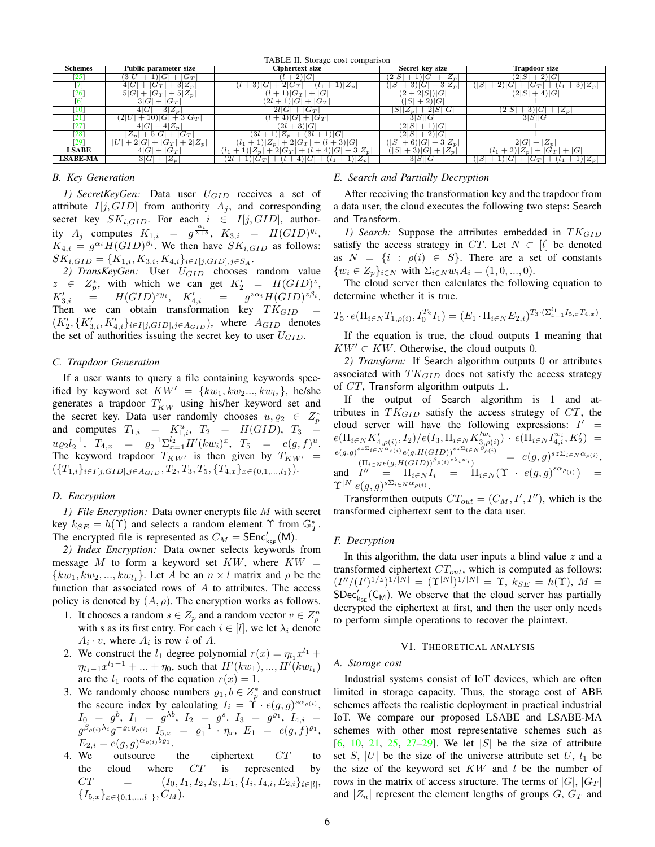<span id="page-5-0"></span>

| TABLE II. Storage cost comparison |                                          |                                                                               |                                         |                                                                                              |  |  |  |  |  |
|-----------------------------------|------------------------------------------|-------------------------------------------------------------------------------|-----------------------------------------|----------------------------------------------------------------------------------------------|--|--|--|--|--|
| <b>Schemes</b>                    | Public parameter size                    | <b>Ciphertext size</b>                                                        | Secret key size                         | Trapdoor size                                                                                |  |  |  |  |  |
| (25)                              | 3 U<br>$+ G_T $<br>$+1 G $               | $(l+2) G $                                                                    | $(2 S +1) G + Z_n $                     | $(2 S +2) G $                                                                                |  |  |  |  |  |
|                                   | $+3 Z_p $<br>$+ G_T $<br>4 G             | $+1 Z_p $<br>$(1+3) G +2 G_T $                                                | $+3 G +3 Z_n $<br> S                    | $+3  Z_{p}$<br>$ S  + 2) G $<br>$ G_T $<br>$+$<br>$^{+}$                                     |  |  |  |  |  |
| [26]                              | $+ G_T +5 Z_p $<br>5 G                   | $+ G $<br>$+1 G_T $                                                           | $(2+2 S ) G $                           | $(2 S +4) G $                                                                                |  |  |  |  |  |
| 161                               | 3 G <br>$+ G_T $                         | $(2l+1) G $<br>$+ G_T $                                                       | $ +2 G $<br>$\left\lvert S\right\rvert$ |                                                                                              |  |  |  |  |  |
| [10]                              | $4 G  + 3 Z_n $                          | 2l G <br>$+ G_T $                                                             | $ S  Z_p  + 2 S  G $                    | $(2 S +3) G $<br>$+ Z_n $                                                                    |  |  |  |  |  |
| $\lceil 21 \rceil$                | $+10 G +3 G_T $<br>$\left( 2 U\right]$   | $(l+4) G + G_T $                                                              | 3 S  G                                  | 3 S  G                                                                                       |  |  |  |  |  |
| [27]                              | $+4 Z_n$<br>4 G                          | $(2l + 3) G $                                                                 | 2 S <br>$+1 G $                         |                                                                                              |  |  |  |  |  |
| [28]                              | $Z_n$<br>$+5 G $<br>$+ G_T $             | $+ (3l + 1) G $<br>$(3l+1) Z_n $                                              | $+2 G $<br> 2 S                         |                                                                                              |  |  |  |  |  |
| [29]                              | $+2 Z_p $<br>2 G <br>$ G_T $<br>U<br>$+$ | $+2 G_T +\frac{(l+3) G }{ }$<br>$ 1  Z_n $<br>$l_{1}$<br>$+$                  | $+ 6$   $ G  + 3 Z_n$<br> S             | 2 G <br>$+ Z_n$                                                                              |  |  |  |  |  |
| <b>LSABE</b>                      | $+G_T$<br>4 G                            | $+3 Z_n $<br>$+1  Z_n +2 G_T $<br>4 G <br>$^{+}$<br>$(l + \gamma)$<br>$l_{1}$ | $+3 G + Z_n $<br>$\cdot$ $ S $          | $+2\left Z_{n}\right $<br>$+ G_T + G $                                                       |  |  |  |  |  |
| <b>LSABE-MA</b>                   | $+ \overline{Z_{p}}$<br>3 G              | $+(l+4) G +(l_1+1) Z_p$<br>$(2l+1) G_T $                                      | 3 S  G                                  | $\vert +1 \rangle \vert G \vert + \vert G_T \vert$<br>$+1  Z_n $<br> S <br>$^{+}$<br>$(l_1)$ |  |  |  |  |  |

## *B. Key Generation*

1) SecretKeyGen: Data user  $U_{GID}$  receives a set of attribute  $I[j, GID]$  from authority  $A_j$ , and corresponding secret key  $SK_{i,GID}$ . For each  $i \in I[j,GID]$ , authority  $A_j$  computes  $K_{1,i} = g^{\frac{\alpha_i}{\lambda+\delta}}$ ,  $K_{3,i} = H(GID)^{y_i}$ ,  $K_{4,i} = g^{\alpha_i} H (GID)^{\beta_i}$ . We then have  $SK_{i,GID}$  as follows:  $SK_{i,GID} = \{K_{1,i}, K_{3,i}, K_{4,i}\}_{i \in I[j,GID], j \in S_A}.$ 

2) TransKeyGen: User U<sub>GID</sub> chooses random value  $z \in Z_p^*$ , with which we can get  $K_2' = H(GID)^z$ ,  $K'_{3,i}$  $\hspace{0.1 cm} \begin{array}{llclcl} \mathcal{E}_{3,i} & = & H(GID)^{zy_i}, & K_{4,i}' & = & g^{z\alpha_i}H(GID)^{z\beta_i}. \end{array}$ Then we can obtain transformation key  $TK_{GID}$  $(K'_2, \{K'_{3,i}, K'_{4,i}\}_{i\in I[j,GID],j\in A_{GID}})$ , where  $A_{GID}$  denotes the set of authorities issuing the secret key to user  $U_{GID}$ .

#### *C. Trapdoor Generation*

If a user wants to query a file containing keywords specified by keyword set  $KW' = \{kw_1, kw_2..., kw_{l_2}\},\$ he/she generates a trapdoor  $T'_{KW}$  using his/her keyword set and the secret key. Data user randomly chooses  $u, \varrho_2 \in Z_p^*$ and computes  $T_{1,i} = K_{1,i}^u$ ,  $T_2 = H(GID)$ ,  $T_3 =$  $u\varrho_2 l_2^{-1}, T_{4,x} = \varrho_2^{-1} \Sigma_{x=1}^{l_2} H'(kw_i)^x, T_5 = e(g, f)^u.$ The keyword trapdoor  $T_{KW'}$  is then given by  $T_{KW'}$  =  $({T_{1,i}}_{i\in I[j,GID],j\in A_{GID}},T_2,T_3,T_5,{T_{4,x}}_{x\in\{0,1,...,l_1\}}).$ 

## *D. Encryption*

*1) File Encryption:* Data owner encrypts file M with secret key  $k_{SE} = h(\Upsilon)$  and selects a random element  $\Upsilon$  from  $\mathbb{G}_T^*$ . The encrypted file is represented as  $C_M = \text{SEnc}'_{k_{\text{SE}}}(\mathsf{M})$ .

*2) Index Encryption:* Data owner selects keywords from message  $M$  to form a keyword set  $KW$ , where  $KW =$  $\{kw_1, kw_2, ..., kw_{l_1}\}.$  Let A be an  $n \times l$  matrix and  $\rho$  be the function that associated rows of  $A$  to attributes. The access policy is denoted by  $(A, \rho)$ . The encryption works as follows.

- 1. It chooses a random  $s \in Z_p$  and a random vector  $v \in Z_p^n$ with s as its first entry. For each  $i \in [l]$ , we let  $\lambda_i$  denote  $A_i \cdot v$ , where  $A_i$  is row i of A.
- 2. We construct the  $l_1$  degree polynomial  $r(x) = \eta_{l_1} x^{l_1} +$  $\eta_{l_1-1}x^{l_1-1} + \dots + \eta_0$ , such that  $H'(kw_1), ..., H'(kw_{l_1})$ are the  $l_1$  roots of the equation  $r(x) = 1$ .
- 3. We randomly choose numbers  $\rho_1, b \in Z_p^*$  and construct the secure index by calculating  $I_i = \hat{\Upsilon} \cdot e(g, g)^{s \alpha_{\rho(i)}}$ ,  $I_0 = g^b, I_1 = g^{\lambda b}, I_2 = g^s. I_3 = g^{\varrho_1}, I_{4,i} =$  $g^{\beta_{\rho(i)}\lambda_i}g^{-\varrho_1y_{\rho(i)}}$   $I_{5,x}$  =  $\varrho_1^{-1}\cdot\eta_x$ ,  $E_1$  =  $e(g,f)^{\varrho_1}$ ,  $E_{2,i} = e(g, g)^{\alpha_{\rho(i)}b\varrho_1}.$
- 4. We outsource the ciphertext CT to the cloud where  $CT$  is represented by  $CT = (I_0, I_1, I_2, I_3, E_1, \{I_i, I_{4,i}, E_{2,i}\}_{i \in [l]},$  ${I_{5,x}}_{x\in\{0,1,\ldots,l_1\}}, C_M$ .

## *E. Search and Partially Decryption*

After receiving the transformation key and the trapdoor from a data user, the cloud executes the following two steps: Search and Transform.

*1)* Search: Suppose the attributes embedded in  $TK_{GID}$ satisfy the access strategy in CT. Let  $N \subset [l]$  be denoted as  $N = \{i : \rho(i) \in S\}$ . There are a set of constants  $\{w_i \in Z_p\}_{i \in \mathbb{N}}$  with  $\Sigma_{i \in \mathbb{N}} w_i A_i = (1, 0, ..., 0)$ .

The cloud server then calculates the following equation to determine whether it is true.

$$
T_5 \cdot e(\Pi_{i \in N} T_{1, \rho(i)}, I_0^{T_2} I_1) = (E_1 \cdot \Pi_{i \in N} E_{2,i})^{T_3 \cdot (\Sigma_{x=1}^{l_1} I_{5,x} T_{4,x})}.
$$

If the equation is true, the cloud outputs 1 meaning that  $KW' \subset KW$ . Otherwise, the cloud outputs 0.

*2) Transform:* If Search algorithm outputs 0 or attributes associated with  $TK_{GID}$  does not satisfy the access strategy of  $CT$ , Transform algorithm outputs  $\bot$ .

If the output of Search algorithm is 1 and attributes in  $TK_{GID}$  satisfy the access strategy of  $CT$ , the cloud server will have the following expressions:  $I' =$  $e(\Pi_{i\in N}K'_{4,\rho(i)},I_2)/e(I_3,\Pi_{i\in N}K'^{w_i}_{3,\rho(i)})\cdot e(\Pi_{i\in N}I^{w_i}_{4,i},K'_2) =$  $e(g,g)^{sz\Sigma_i\in N^{\alpha}\rho(i)}e(g,H(GID))^{sz\Sigma_i\in N^{\beta}\rho(i)}$  $\frac{\sum_{i\in N} p_{(\ell)}e(g,H(GID))^{s-1}e(N^{-\rho(\ell)})}{\prod_{i\in N}e(g,H(GID))^{\beta_{\rho(i)}\geq \lambda_i w_i}} = e(g,g)^{sz\Sigma_{i\in N}\alpha_{\rho(i)}},$ and  $I'' = \Pi_{i \in N} I_i = \Pi_{i \in N} (\Upsilon + e(g, g)^{s \alpha_{\rho(i)}}) =$  $\Upsilon^{|N|}e(g,g)^{s\Sigma_{i\in N}\alpha_{\rho(i)}}.$ 

Transform then outputs  $CT_{out} = (C_M, I', I'')$ , which is the transformed ciphertext sent to the data user.

#### *F. Decryption*

In this algorithm, the data user inputs a blind value  $z$  and a transformed ciphertext  $CT_{out}$ , which is computed as follows:  $(I''/(I')^{1/z})^{1/|N|} = (\Upsilon^{|N|})^{1/|N|} = \Upsilon$ ,  $k_{SE} = h(\Upsilon)$ ,  $M =$  $SDec'_{k_{SE}}(C_M)$ . We observe that the cloud server has partially decrypted the ciphertext at first, and then the user only needs to perform simple operations to recover the plaintext.

## VI. THEORETICAL ANALYSIS

# *A. Storage cost*

Industrial systems consist of IoT devices, which are often limited in storage capacity. Thus, the storage cost of ABE schemes affects the realistic deployment in practical industrial IoT. We compare our proposed LSABE and LSABE-MA schemes with other most representative schemes such as  $[6, 10, 21, 25, 27-29]$  $[6, 10, 21, 25, 27-29]$  $[6, 10, 21, 25, 27-29]$  $[6, 10, 21, 25, 27-29]$  $[6, 10, 21, 25, 27-29]$  $[6, 10, 21, 25, 27-29]$  $[6, 10, 21, 25, 27-29]$  $[6, 10, 21, 25, 27-29]$  $[6, 10, 21, 25, 27-29]$ . We let  $|S|$  be the size of attribute set S, |U| be the size of the universe attribute set U,  $l_1$  be the size of the keyword set  $KW$  and  $l$  be the number of rows in the matrix of access structure. The terms of  $|G|, |G_T|$ and  $|Z_n|$  represent the element lengths of groups  $G, G_T$  and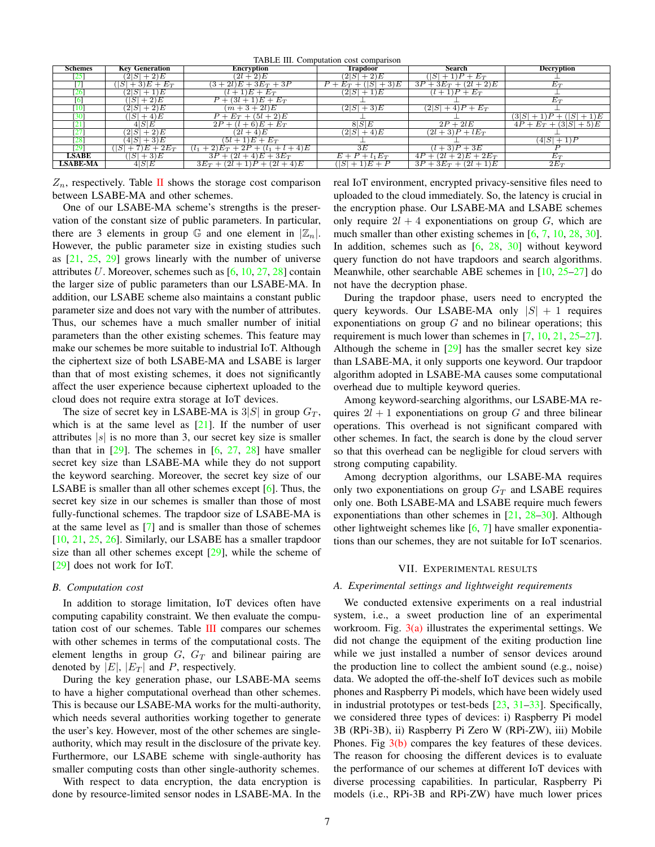TABLE III. Computation cost comparison

<span id="page-6-1"></span>

| <b>Schemes</b>  | <b>Key Generation</b> | Encryption                       | Trapdoor               | Search                           | <b>Decryption</b>        |  |  |  |  |  |
|-----------------|-----------------------|----------------------------------|------------------------|----------------------------------|--------------------------|--|--|--|--|--|
| [25]            | $(2 S +2)E$           | $(2l + 2)E$                      | $(2 S +2)E$            | $+1)P + E_T$<br>$\left S\right $ |                          |  |  |  |  |  |
|                 | S <br>$+3)E + E_T$    | $(3+2l)E + 3E_T + 3P$            | $P + E_T + ( S  + 3)E$ | $3P + 3E_T + (2l + 2)E$          | $\overline{E}_T$         |  |  |  |  |  |
| 126             | $(2 S +1)E$           | $(l+1)E + E_T$                   | $(2 S +1)E$            | $(l+1)P+E_T$                     |                          |  |  |  |  |  |
| 16              | $( S +2)E$            | $P + (3l + 1)E + E_T$            |                        |                                  | $E_T$                    |  |  |  |  |  |
| [10]            | $(2 S +2)E$           | $(m+3+2l)E$                      | $(2 S +3)E$            | $(2 S +4)P+E_T$                  |                          |  |  |  |  |  |
| 130             | $( S +4)E$            | $P + E_T + (5l + 2)E$            |                        |                                  | $(3 S +1)P + ( S +1)E$   |  |  |  |  |  |
| $\overline{21}$ | 4 S E                 | $2P + (l + 6)E + E_T$            | 8 S E                  | $2P + 2lE$                       | $4P + E_T + (3 S  + 5)E$ |  |  |  |  |  |
| $\overline{27}$ | $(2 S +2)E$           | $(2l + 4)E$                      | $(2 S +4)E$            | $(2l+3)P + lE_T$                 |                          |  |  |  |  |  |
| [28]            | $(4 S +3)E$           | $(5l+1)E+E_T$                    |                        |                                  | $(4 S +1)P$              |  |  |  |  |  |
| [29]            | $+7)E + 2E_T$         | $(1+2)E_T + 2P + (l_1 + l + 4)E$ | 3E                     | $(l+3)P+3E$                      |                          |  |  |  |  |  |
| <b>LSABE</b>    | $($ [SI + 3)E         | $3P + (2l + 4)E + 3E_T$          | $E + P + l_1 E_T$      | $4P + (2l + 2)E + 2E_T$          | $E_T$                    |  |  |  |  |  |
| <b>LSABE-MA</b> | $4S$ $E$              | $3E_T + (2l+1)P + (2l+4)E$       | $ S +1$ ) $E+P$        | $3P + 3E_T + (2l + 1)E$          | $2E_T$                   |  |  |  |  |  |
|                 |                       |                                  |                        |                                  |                          |  |  |  |  |  |

 $Z_n$ , respectively. Table [II](#page-5-0) shows the storage cost comparison between LSABE-MA and other schemes.

One of our LSABE-MA scheme's strengths is the preservation of the constant size of public parameters. In particular, there are 3 elements in group G and one element in  $|\mathbb{Z}_n|$ . However, the public parameter size in existing studies such as  $[21, 25, 29]$  $[21, 25, 29]$  $[21, 25, 29]$  $[21, 25, 29]$  $[21, 25, 29]$  grows linearly with the number of universe attributes U. Moreover, schemes such as  $[6, 10, 27, 28]$  $[6, 10, 27, 28]$  $[6, 10, 27, 28]$  $[6, 10, 27, 28]$  $[6, 10, 27, 28]$  $[6, 10, 27, 28]$  $[6, 10, 27, 28]$  contain the larger size of public parameters than our LSABE-MA. In addition, our LSABE scheme also maintains a constant public parameter size and does not vary with the number of attributes. Thus, our schemes have a much smaller number of initial parameters than the other existing schemes. This feature may make our schemes be more suitable to industrial IoT. Although the ciphertext size of both LSABE-MA and LSABE is larger than that of most existing schemes, it does not significantly affect the user experience because ciphertext uploaded to the cloud does not require extra storage at IoT devices.

The size of secret key in LSABE-MA is  $3|S|$  in group  $G_T$ , which is at the same level as  $[21]$ . If the number of user attributes  $|s|$  is no more than 3, our secret key size is smaller than that in  $[29]$ . The schemes in  $[6, 27, 28]$  $[6, 27, 28]$  $[6, 27, 28]$  $[6, 27, 28]$  $[6, 27, 28]$  have smaller secret key size than LSABE-MA while they do not support the keyword searching. Moreover, the secret key size of our LSABE is smaller than all other schemes except [\[6\]](#page-9-5). Thus, the secret key size in our schemes is smaller than those of most fully-functional schemes. The trapdoor size of LSABE-MA is at the same level as [\[7\]](#page-9-6) and is smaller than those of schemes [\[10,](#page-9-9) [21,](#page-9-20) [25,](#page-9-25) [26\]](#page-9-26). Similarly, our LSABE has a smaller trapdoor size than all other schemes except  $[29]$ , while the scheme of [\[29\]](#page-9-29) does not work for IoT.

## *B. Computation cost*

In addition to storage limitation, IoT devices often have computing capability constraint. We then evaluate the computation cost of our schemes. Table [III](#page-6-1) compares our schemes with other schemes in terms of the computational costs. The element lengths in group  $G$ ,  $G_T$  and bilinear pairing are denoted by  $|E|$ ,  $|E_T|$  and P, respectively.

During the key generation phase, our LSABE-MA seems to have a higher computational overhead than other schemes. This is because our LSABE-MA works for the multi-authority, which needs several authorities working together to generate the user's key. However, most of the other schemes are singleauthority, which may result in the disclosure of the private key. Furthermore, our LSABE scheme with single-authority has smaller computing costs than other single-authority schemes.

With respect to data encryption, the data encryption is done by resource-limited sensor nodes in LSABE-MA. In the real IoT environment, encrypted privacy-sensitive files need to uploaded to the cloud immediately. So, the latency is crucial in the encryption phase. Our LSABE-MA and LSABE schemes only require  $2l + 4$  exponentiations on group G, which are much smaller than other existing schemes in [\[6,](#page-9-5) [7,](#page-9-6) [10,](#page-9-9) [28,](#page-9-28) [30\]](#page-9-30). In addition, schemes such as [\[6,](#page-9-5) [28,](#page-9-28) [30\]](#page-9-30) without keyword query function do not have trapdoors and search algorithms. Meanwhile, other searchable ABE schemes in [\[10,](#page-9-9) [25–](#page-9-25)[27\]](#page-9-27) do not have the decryption phase.

During the trapdoor phase, users need to encrypted the query keywords. Our LSABE-MA only  $|S| + 1$  requires exponentiations on group  $G$  and no bilinear operations; this requirement is much lower than schemes in [\[7,](#page-9-6) [10,](#page-9-9) [21,](#page-9-20) [25](#page-9-25)[–27\]](#page-9-27). Although the scheme in  $[29]$  has the smaller secret key size than LSABE-MA, it only supports one keyword. Our trapdoor algorithm adopted in LSABE-MA causes some computational overhead due to multiple keyword queries.

Among keyword-searching algorithms, our LSABE-MA requires  $2l + 1$  exponentiations on group G and three bilinear operations. This overhead is not significant compared with other schemes. In fact, the search is done by the cloud server so that this overhead can be negligible for cloud servers with strong computing capability.

Among decryption algorithms, our LSABE-MA requires only two exponentiations on group  $G_T$  and LSABE requires only one. Both LSABE-MA and LSABE require much fewers exponentiations than other schemes in  $[21, 28-30]$  $[21, 28-30]$  $[21, 28-30]$  $[21, 28-30]$ . Although other lightweight schemes like [\[6,](#page-9-5) [7\]](#page-9-6) have smaller exponentiations than our schemes, they are not suitable for IoT scenarios.

# VII. EXPERIMENTAL RESULTS

#### <span id="page-6-0"></span>*A. Experimental settings and lightweight requirements*

We conducted extensive experiments on a real industrial system, i.e., a sweet production line of an experimental workroom. Fig.  $3(a)$  illustrates the experimental settings. We did not change the equipment of the exiting production line while we just installed a number of sensor devices around the production line to collect the ambient sound (e.g., noise) data. We adopted the off-the-shelf IoT devices such as mobile phones and Raspberry Pi models, which have been widely used in industrial prototypes or test-beds [\[23,](#page-9-23) [31–](#page-9-31)[33\]](#page-10-0). Specifically, we considered three types of devices: i) Raspberry Pi model 3B (RPi-3B), ii) Raspberry Pi Zero W (RPi-ZW), iii) Mobile Phones. Fig  $3(b)$  compares the key features of these devices. The reason for choosing the different devices is to evaluate the performance of our schemes at different IoT devices with diverse processing capabilities. In particular, Raspberry Pi models (i.e., RPi-3B and RPi-ZW) have much lower prices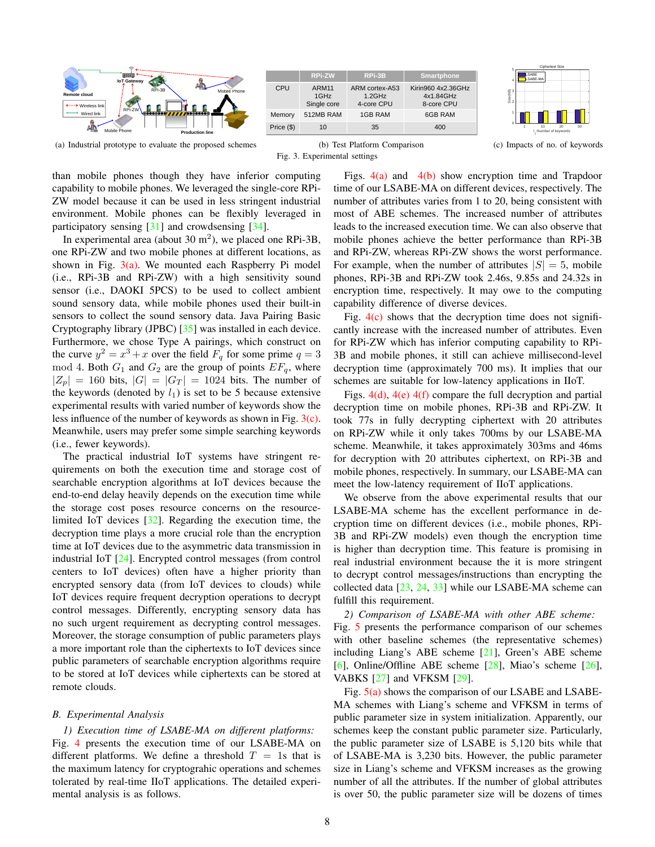<span id="page-7-0"></span>

<span id="page-7-1"></span>



<span id="page-7-2"></span>(c) Impacts of no. of keywords

than mobile phones though they have inferior computing capability to mobile phones. We leveraged the single-core RPi-ZW model because it can be used in less stringent industrial environment. Mobile phones can be flexibly leveraged in participatory sensing [\[31\]](#page-9-31) and crowdsensing [\[34\]](#page-10-1).

In experimental area (about  $30 \text{ m}^2$ ), we placed one RPi-3B, one RPi-ZW and two mobile phones at different locations, as shown in Fig.  $3(a)$ . We mounted each Raspberry Pi model (i.e., RPi-3B and RPi-ZW) with a high sensitivity sound sensor (i.e., DAOKI 5PCS) to be used to collect ambient sound sensory data, while mobile phones used their built-in sensors to collect the sound sensory data. Java Pairing Basic Cryptography library (JPBC) [\[35\]](#page-10-2) was installed in each device. Furthermore, we chose Type A pairings, which construct on the curve  $y^2 = x^3 + x$  over the field  $F_q$  for some prime  $q = 3$ mod 4. Both  $G_1$  and  $G_2$  are the group of points  $EF_q$ , where  $|Z_p| = 160$  bits,  $|G| = |G_T| = 1024$  bits. The number of the keywords (denoted by  $l_1$ ) is set to be 5 because extensive experimental results with varied number of keywords show the less influence of the number of keywords as shown in Fig. [3\(c\).](#page-7-2) Meanwhile, users may prefer some simple searching keywords (i.e., fewer keywords).

The practical industrial IoT systems have stringent requirements on both the execution time and storage cost of searchable encryption algorithms at IoT devices because the end-to-end delay heavily depends on the execution time while the storage cost poses resource concerns on the resourcelimited IoT devices [\[32\]](#page-10-3). Regarding the execution time, the decryption time plays a more crucial role than the encryption time at IoT devices due to the asymmetric data transmission in industrial IoT [\[24\]](#page-9-24). Encrypted control messages (from control centers to IoT devices) often have a higher priority than encrypted sensory data (from IoT devices to clouds) while IoT devices require frequent decryption operations to decrypt control messages. Differently, encrypting sensory data has no such urgent requirement as decrypting control messages. Moreover, the storage consumption of public parameters plays a more important role than the ciphertexts to IoT devices since public parameters of searchable encryption algorithms require to be stored at IoT devices while ciphertexts can be stored at remote clouds.

#### *B. Experimental Analysis*

*1) Execution time of LSABE-MA on different platforms:* Fig. [4](#page-8-0) presents the execution time of our LSABE-MA on different platforms. We define a threshold  $T = 1$ s that is the maximum latency for cryptograhic operations and schemes tolerated by real-time IIoT applications. The detailed experimental analysis is as follows.

Figs.  $4(a)$  and  $4(b)$  show encryption time and Trapdoor time of our LSABE-MA on different devices, respectively. The number of attributes varies from 1 to 20, being consistent with most of ABE schemes. The increased number of attributes leads to the increased execution time. We can also observe that mobile phones achieve the better performance than RPi-3B and RPi-ZW, whereas RPi-ZW shows the worst performance. For example, when the number of attributes  $|S| = 5$ , mobile phones, RPi-3B and RPi-ZW took 2.46s, 9.85s and 24.32s in encryption time, respectively. It may owe to the computing capability difference of diverse devices.

Fig.  $4(c)$  shows that the decryption time does not significantly increase with the increased number of attributes. Even for RPi-ZW which has inferior computing capability to RPi-3B and mobile phones, it still can achieve millisecond-level decryption time (approximately 700 ms). It implies that our schemes are suitable for low-latency applications in IIoT.

Figs. [4\(d\),](#page-8-4) [4\(e\)](#page-8-5) [4\(f\)](#page-8-6) compare the full decryption and partial decryption time on mobile phones, RPi-3B and RPi-ZW. It took 77s in fully decrypting ciphertext with 20 attributes on RPi-ZW while it only takes 700ms by our LSABE-MA scheme. Meanwhile, it takes approximately 303ms and 46ms for decryption with 20 attributes ciphertext, on RPi-3B and mobile phones, respectively. In summary, our LSABE-MA can meet the low-latency requirement of IIoT applications.

We observe from the above experimental results that our LSABE-MA scheme has the excellent performance in decryption time on different devices (i.e., mobile phones, RPi-3B and RPi-ZW models) even though the encryption time is higher than decryption time. This feature is promising in real industrial environment because the it is more stringent to decrypt control messages/instructions than encrypting the collected data [\[23,](#page-9-23) [24,](#page-9-24) [33\]](#page-10-0) while our LSABE-MA scheme can fulfill this requirement.

*2) Comparison of LSABE-MA with other ABE scheme:* Fig. [5](#page-8-0) presents the performance comparison of our schemes with other baseline schemes (the representative schemes) including Liang's ABE scheme [\[21\]](#page-9-20), Green's ABE scheme [\[6\]](#page-9-5), Online/Offline ABE scheme  $[28]$ , Miao's scheme  $[26]$ , VABKS [\[27\]](#page-9-27) and VFKSM [\[29\]](#page-9-29).

Fig. [5\(a\)](#page-8-7) shows the comparison of our LSABE and LSABE-MA schemes with Liang's scheme and VFKSM in terms of public parameter size in system initialization. Apparently, our schemes keep the constant public parameter size. Particularly, the public parameter size of LSABE is 5,120 bits while that of LSABE-MA is 3,230 bits. However, the public parameter size in Liang's scheme and VFKSM increases as the growing number of all the attributes. If the number of global attributes is over 50, the public parameter size will be dozens of times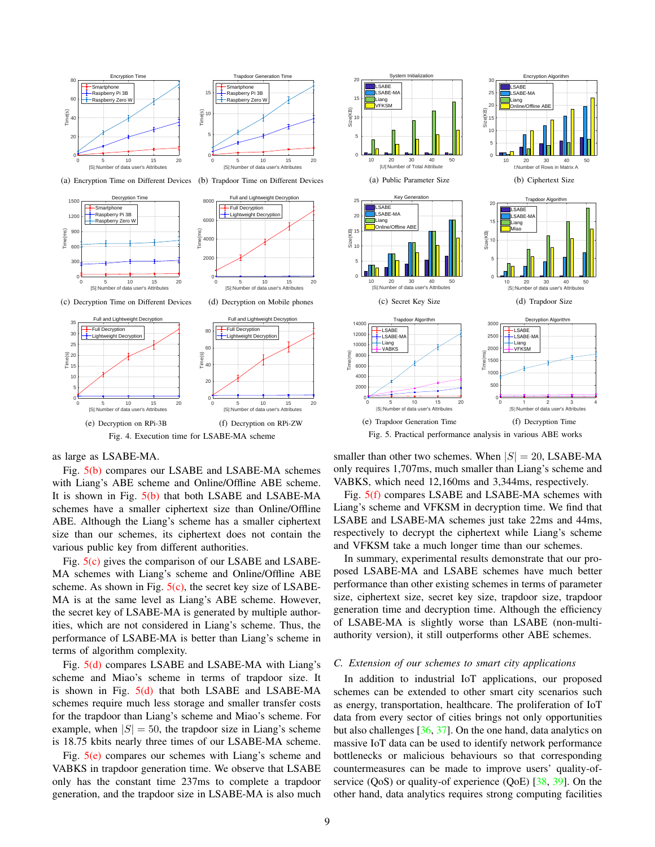<span id="page-8-1"></span><span id="page-8-0"></span>



0 5 10 15 20 |S|:Number of data user's Attributes  $\overline{\ }$ 5  $10$ 15 H + Time(s) **Trapdoor Generation Tim** Smartpho Raspberry Pi 3B Raspberry Zero W

<span id="page-8-4"></span><span id="page-8-2"></span>(b) Trapdoor Time on Different Devices



<span id="page-8-3"></span>(c) Decryption Time on Different Devices

<span id="page-8-5"></span>as large as LSABE-MA.

 $0$ 5  $\angle$  $10$ 15 ම 20<br>E 15<br>E 15 25 <sub>30</sub> 35

Fig. [5\(b\)](#page-8-8) compares our LSABE and LSABE-MA schemes with Liang's ABE scheme and Online/Offline ABE scheme. It is shown in Fig. [5\(b\)](#page-8-8) that both LSABE and LSABE-MA schemes have a smaller ciphertext size than Online/Offline ABE. Although the Liang's scheme has a smaller ciphertext size than our schemes, its ciphertext does not contain the various public key from different authorities.

<span id="page-8-6"></span>Fig. 4. Execution time for LSABE-MA scheme

Fig. [5\(c\)](#page-8-9) gives the comparison of our LSABE and LSABE-MA schemes with Liang's scheme and Online/Offline ABE scheme. As shown in Fig.  $5(c)$ , the secret key size of LSABE-MA is at the same level as Liang's ABE scheme. However, the secret key of LSABE-MA is generated by multiple authorities, which are not considered in Liang's scheme. Thus, the performance of LSABE-MA is better than Liang's scheme in terms of algorithm complexity.

Fig. [5\(d\)](#page-8-10) compares LSABE and LSABE-MA with Liang's scheme and Miao's scheme in terms of trapdoor size. It is shown in Fig.  $5(d)$  that both LSABE and LSABE-MA schemes require much less storage and smaller transfer costs for the trapdoor than Liang's scheme and Miao's scheme. For example, when  $|S| = 50$ , the trapdoor size in Liang's scheme is 18.75 kbits nearly three times of our LSABE-MA scheme.

Fig.  $5(e)$  compares our schemes with Liang's scheme and VABKS in trapdoor generation time. We observe that LSABE only has the constant time 237ms to complete a trapdoor generation, and the trapdoor size in LSABE-MA is also much

<span id="page-8-8"></span><span id="page-8-7"></span>

<span id="page-8-12"></span><span id="page-8-11"></span><span id="page-8-10"></span><span id="page-8-9"></span>Fig. 5. Practical performance analysis in various ABE works

smaller than other two schemes. When  $|S| = 20$ , LSABE-MA only requires 1,707ms, much smaller than Liang's scheme and VABKS, which need 12,160ms and 3,344ms, respectively.

Fig. [5\(f\)](#page-8-12) compares LSABE and LSABE-MA schemes with Liang's scheme and VFKSM in decryption time. We find that LSABE and LSABE-MA schemes just take 22ms and 44ms, respectively to decrypt the ciphertext while Liang's scheme and VFKSM take a much longer time than our schemes.

In summary, experimental results demonstrate that our proposed LSABE-MA and LSABE schemes have much better performance than other existing schemes in terms of parameter size, ciphertext size, secret key size, trapdoor size, trapdoor generation time and decryption time. Although the efficiency of LSABE-MA is slightly worse than LSABE (non-multiauthority version), it still outperforms other ABE schemes.

# *C. Extension of our schemes to smart city applications*

In addition to industrial IoT applications, our proposed schemes can be extended to other smart city scenarios such as energy, transportation, healthcare. The proliferation of IoT data from every sector of cities brings not only opportunities but also challenges [\[36,](#page-10-4) [37\]](#page-10-5). On the one hand, data analytics on massive IoT data can be used to identify network performance bottlenecks or malicious behaviours so that corresponding countermeasures can be made to improve users' quality-ofservice  $(QoS)$  or quality-of experience  $(QoE)$  [\[38,](#page-10-6) [39\]](#page-10-7). On the other hand, data analytics requires strong computing facilities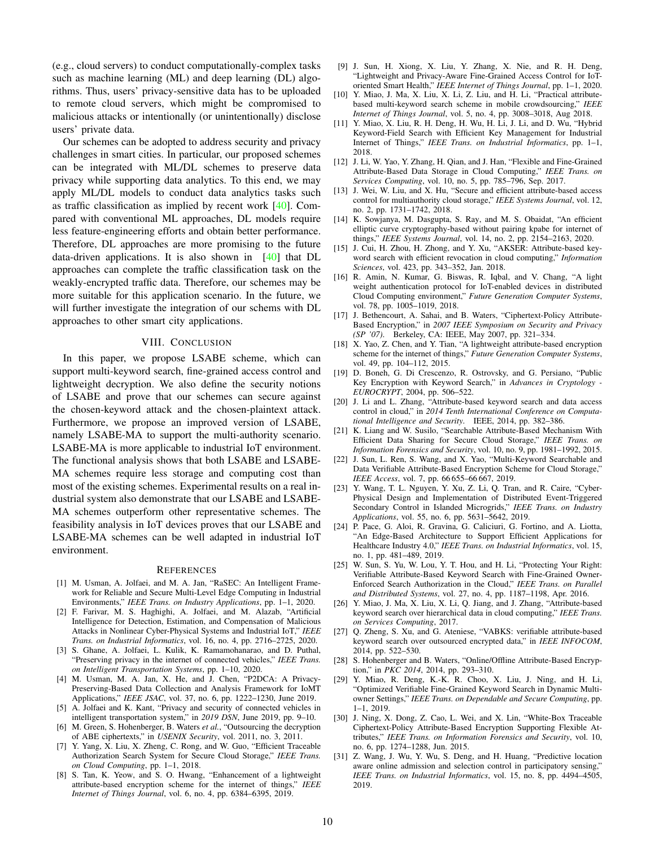(e.g., cloud servers) to conduct computationally-complex tasks such as machine learning (ML) and deep learning (DL) algorithms. Thus, users' privacy-sensitive data has to be uploaded to remote cloud servers, which might be compromised to malicious attacks or intentionally (or unintentionally) disclose users' private data.

Our schemes can be adopted to address security and privacy challenges in smart cities. In particular, our proposed schemes can be integrated with ML/DL schemes to preserve data privacy while supporting data analytics. To this end, we may apply ML/DL models to conduct data analytics tasks such as traffic classification as implied by recent work [\[40\]](#page-10-8). Compared with conventional ML approaches, DL models require less feature-engineering efforts and obtain better performance. Therefore, DL approaches are more promising to the future data-driven applications. It is also shown in [\[40\]](#page-10-8) that DL approaches can complete the traffic classification task on the weakly-encrypted traffic data. Therefore, our schemes may be more suitable for this application scenario. In the future, we will further investigate the integration of our schems with DL approaches to other smart city applications.

# VIII. CONCLUSION

<span id="page-9-22"></span>In this paper, we propose LSABE scheme, which can support multi-keyword search, fine-grained access control and lightweight decryption. We also define the security notions of LSABE and prove that our schemes can secure against the chosen-keyword attack and the chosen-plaintext attack. Furthermore, we propose an improved version of LSABE, namely LSABE-MA to support the multi-authority scenario. LSABE-MA is more applicable to industrial IoT environment. The functional analysis shows that both LSABE and LSABE-MA schemes require less storage and computing cost than most of the existing schemes. Experimental results on a real industrial system also demonstrate that our LSABE and LSABE-MA schemes outperform other representative schemes. The feasibility analysis in IoT devices proves that our LSABE and LSABE-MA schemes can be well adapted in industrial IoT environment.

#### **REFERENCES**

- <span id="page-9-0"></span>[1] M. Usman, A. Jolfaei, and M. A. Jan, "RaSEC: An Intelligent Framework for Reliable and Secure Multi-Level Edge Computing in Industrial Environments," *IEEE Trans. on Industry Applications*, pp. 1–1, 2020.
- <span id="page-9-1"></span>[2] F. Farivar, M. S. Haghighi, A. Jolfaei, and M. Alazab, "Artificial Intelligence for Detection, Estimation, and Compensation of Malicious Attacks in Nonlinear Cyber-Physical Systems and Industrial IoT," *IEEE Trans. on Industrial Informatics*, vol. 16, no. 4, pp. 2716–2725, 2020.
- <span id="page-9-2"></span>[3] S. Ghane, A. Jolfaei, L. Kulik, K. Ramamohanarao, and D. Puthal, "Preserving privacy in the internet of connected vehicles," *IEEE Trans. on Intelligent Transportation Systems*, pp. 1–10, 2020.
- <span id="page-9-3"></span>[4] M. Usman, M. A. Jan, X. He, and J. Chen, "P2DCA: A Privacy-Preserving-Based Data Collection and Analysis Framework for IoMT Applications," *IEEE JSAC*, vol. 37, no. 6, pp. 1222–1230, June 2019.
- <span id="page-9-4"></span>[5] A. Jolfaei and K. Kant, "Privacy and security of connected vehicles in intelligent transportation system," in *2019 DSN*, June 2019, pp. 9–10.
- <span id="page-9-5"></span>[6] M. Green, S. Hohenberger, B. Waters *et al.*, "Outsourcing the decryption of ABE ciphertexts," in *USENIX Security*, vol. 2011, no. 3, 2011.
- <span id="page-9-6"></span>[7] Y. Yang, X. Liu, X. Zheng, C. Rong, and W. Guo, "Efficient Traceable Authorization Search System for Secure Cloud Storage," *IEEE Trans. on Cloud Computing*, pp. 1–1, 2018.
- <span id="page-9-7"></span>[8] S. Tan, K. Yeow, and S. O. Hwang, "Enhancement of a lightweight attribute-based encryption scheme for the internet of things," *IEEE Internet of Things Journal*, vol. 6, no. 4, pp. 6384–6395, 2019.
- <span id="page-9-8"></span>[9] J. Sun, H. Xiong, X. Liu, Y. Zhang, X. Nie, and R. H. Deng, "Lightweight and Privacy-Aware Fine-Grained Access Control for IoToriented Smart Health," *IEEE Internet of Things Journal*, pp. 1–1, 2020.
- <span id="page-9-9"></span>[10] Y. Miao, J. Ma, X. Liu, X. Li, Z. Liu, and H. Li, "Practical attributebased multi-keyword search scheme in mobile crowdsourcing," *IEEE Internet of Things Journal*, vol. 5, no. 4, pp. 3008–3018, Aug 2018.
- <span id="page-9-10"></span>[11] Y. Miao, X. Liu, R. H. Deng, H. Wu, H. Li, J. Li, and D. Wu, "Hybrid Keyword-Field Search with Efficient Key Management for Industrial Internet of Things," *IEEE Trans. on Industrial Informatics*, pp. 1–1, 2018.
- <span id="page-9-11"></span>[12] J. Li, W. Yao, Y. Zhang, H. Qian, and J. Han, "Flexible and Fine-Grained Attribute-Based Data Storage in Cloud Computing," *IEEE Trans. on Services Computing*, vol. 10, no. 5, pp. 785–796, Sep. 2017.
- <span id="page-9-12"></span>[13] J. Wei, W. Liu, and X. Hu, "Secure and efficient attribute-based access control for multiauthority cloud storage," *IEEE Systems Journal*, vol. 12, no. 2, pp. 1731–1742, 2018.
- <span id="page-9-13"></span>[14] K. Sowjanya, M. Dasgupta, S. Ray, and M. S. Obaidat, "An efficient elliptic curve cryptography-based without pairing kpabe for internet of things," *IEEE Systems Journal*, vol. 14, no. 2, pp. 2154–2163, 2020.
- <span id="page-9-14"></span>[15] J. Cui, H. Zhou, H. Zhong, and Y. Xu, "AKSER: Attribute-based keyword search with efficient revocation in cloud computing," *Information Sciences*, vol. 423, pp. 343–352, Jan. 2018.
- <span id="page-9-15"></span>[16] R. Amin, N. Kumar, G. Biswas, R. Iqbal, and V. Chang, "A light weight authentication protocol for IoT-enabled devices in distributed Cloud Computing environment," *Future Generation Computer Systems*, vol. 78, pp. 1005–1019, 2018.
- <span id="page-9-16"></span>[17] J. Bethencourt, A. Sahai, and B. Waters, "Ciphertext-Policy Attribute-Based Encryption," in *2007 IEEE Symposium on Security and Privacy (SP '07)*. Berkeley, CA: IEEE, May 2007, pp. 321–334.
- <span id="page-9-17"></span>[18] X. Yao, Z. Chen, and Y. Tian, "A lightweight attribute-based encryption scheme for the internet of things," *Future Generation Computer Systems*, vol. 49, pp. 104–112, 2015.
- <span id="page-9-18"></span>[19] D. Boneh, G. Di Crescenzo, R. Ostrovsky, and G. Persiano, "Public Key Encryption with Keyword Search," in *Advances in Cryptology - EUROCRYPT*, 2004, pp. 506–522.
- <span id="page-9-19"></span>[20] J. Li and L. Zhang, "Attribute-based keyword search and data access control in cloud," in *2014 Tenth International Conference on Computational Intelligence and Security*. IEEE, 2014, pp. 382–386.
- <span id="page-9-20"></span>[21] K. Liang and W. Susilo, "Searchable Attribute-Based Mechanism With Efficient Data Sharing for Secure Cloud Storage," *IEEE Trans. on Information Forensics and Security*, vol. 10, no. 9, pp. 1981–1992, 2015.
- <span id="page-9-21"></span>[22] J. Sun, L. Ren, S. Wang, and X. Yao, "Multi-Keyword Searchable and Data Verifiable Attribute-Based Encryption Scheme for Cloud Storage," *IEEE Access*, vol. 7, pp. 66 655–66 667, 2019.
- <span id="page-9-23"></span>[23] Y. Wang, T. L. Nguyen, Y. Xu, Z. Li, Q. Tran, and R. Caire, "Cyber-Physical Design and Implementation of Distributed Event-Triggered Secondary Control in Islanded Microgrids," *IEEE Trans. on Industry Applications*, vol. 55, no. 6, pp. 5631–5642, 2019.
- <span id="page-9-24"></span>[24] P. Pace, G. Aloi, R. Gravina, G. Caliciuri, G. Fortino, and A. Liotta, "An Edge-Based Architecture to Support Efficient Applications for Healthcare Industry 4.0," *IEEE Trans. on Industrial Informatics*, vol. 15, no. 1, pp. 481–489, 2019.
- <span id="page-9-25"></span>[25] W. Sun, S. Yu, W. Lou, Y. T. Hou, and H. Li, "Protecting Your Right: Verifiable Attribute-Based Keyword Search with Fine-Grained Owner-Enforced Search Authorization in the Cloud," *IEEE Trans. on Parallel and Distributed Systems*, vol. 27, no. 4, pp. 1187–1198, Apr. 2016.
- <span id="page-9-26"></span>[26] Y. Miao, J. Ma, X. Liu, X. Li, Q. Jiang, and J. Zhang, "Attribute-based keyword search over hierarchical data in cloud computing," *IEEE Trans. on Services Computing*, 2017.
- <span id="page-9-27"></span>[27] O. Zheng, S. Xu, and G. Ateniese, "VABKS: verifiable attribute-based keyword search over outsourced encrypted data," in *IEEE INFOCOM*, 2014, pp. 522–530.
- <span id="page-9-28"></span>[28] S. Hohenberger and B. Waters, "Online/Offline Attribute-Based Encryption," in *PKC 2014*, 2014, pp. 293–310.
- <span id="page-9-29"></span>[29] Y. Miao, R. Deng, K.-K. R. Choo, X. Liu, J. Ning, and H. Li, "Optimized Verifiable Fine-Grained Keyword Search in Dynamic Multiowner Settings," *IEEE Trans. on Dependable and Secure Computing*, pp. 1–1, 2019.
- <span id="page-9-30"></span>[30] J. Ning, X. Dong, Z. Cao, L. Wei, and X. Lin, "White-Box Traceable Ciphertext-Policy Attribute-Based Encryption Supporting Flexible Attributes," *IEEE Trans. on Information Forensics and Security*, vol. 10, no. 6, pp. 1274–1288, Jun. 2015.
- <span id="page-9-31"></span>[31] Z. Wang, J. Wu, Y. Wu, S. Deng, and H. Huang, "Predictive location aware online admission and selection control in participatory sensing," *IEEE Trans. on Industrial Informatics*, vol. 15, no. 8, pp. 4494–4505, 2019.